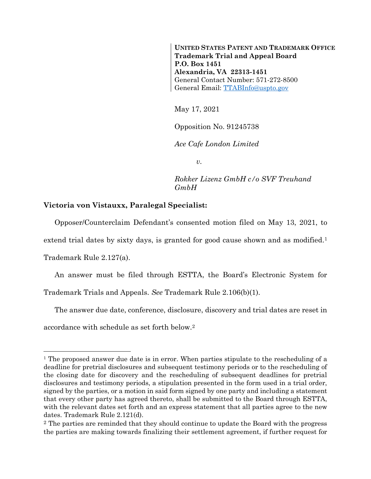**UNITED STATES PATENT AND TRADEMARK OFFICE Trademark Trial and Appeal Board P.O. Box 1451 Alexandria, VA 22313-1451** General Contact Number: 571-272-8500 General Email: [TTABInfo@uspto.gov](mailto:TTABInfo@uspto.gov)

May 17, 2021

Opposition No. 91245738

*Ace Cafe London Limited*

*v.*

*Rokker Lizenz GmbH c/o SVF Treuhand GmbH*

## **Victoria von Vistauxx, Paralegal Specialist:**

Opposer/Counterclaim Defendant's consented motion filed on May 13, 2021, to

extend trial dates by sixty days, is granted for good cause shown and as modified.<sup>1</sup>

Trademark Rule 2.127(a).

l

An answer must be filed through ESTTA, the Board's Electronic System for

Trademark Trials and Appeals. *See* Trademark Rule 2.106(b)(1).

The answer due date, conference, disclosure, discovery and trial dates are reset in accordance with schedule as set forth below.<sup>2</sup>

<sup>&</sup>lt;sup>1</sup> The proposed answer due date is in error. When parties stipulate to the rescheduling of a deadline for pretrial disclosures and subsequent testimony periods or to the rescheduling of the closing date for discovery and the rescheduling of subsequent deadlines for pretrial disclosures and testimony periods, a stipulation presented in the form used in a trial order, signed by the parties, or a motion in said form signed by one party and including a statement that every other party has agreed thereto, shall be submitted to the Board through ESTTA, with the relevant dates set forth and an express statement that all parties agree to the new dates. Trademark Rule 2.121(d).

<sup>&</sup>lt;sup>2</sup> The parties are reminded that they should continue to update the Board with the progress the parties are making towards finalizing their settlement agreement, if further request for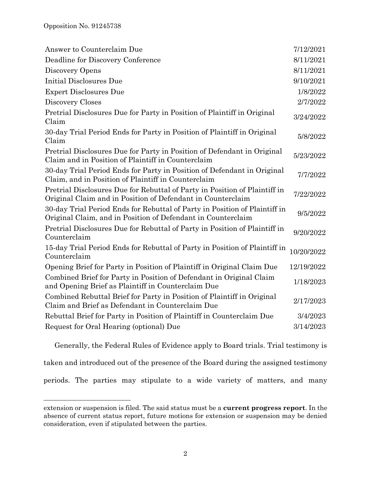l

| Deadline for Discovery Conference<br>Discovery Opens<br>Initial Disclosures Due                                                            | 8/11/2021<br>8/11/2021<br>9/10/2021 |
|--------------------------------------------------------------------------------------------------------------------------------------------|-------------------------------------|
|                                                                                                                                            |                                     |
|                                                                                                                                            |                                     |
|                                                                                                                                            |                                     |
| <b>Expert Disclosures Due</b>                                                                                                              | 1/8/2022                            |
| Discovery Closes                                                                                                                           | 2/7/2022                            |
| Pretrial Disclosures Due for Party in Position of Plaintiff in Original<br>Claim                                                           | 3/24/2022                           |
| 30-day Trial Period Ends for Party in Position of Plaintiff in Original<br>Claim                                                           | 5/8/2022                            |
| Pretrial Disclosures Due for Party in Position of Defendant in Original<br>Claim and in Position of Plaintiff in Counterclaim              | 5/23/2022                           |
| 30-day Trial Period Ends for Party in Position of Defendant in Original<br>Claim, and in Position of Plaintiff in Counterclaim             | 7/7/2022                            |
| Pretrial Disclosures Due for Rebuttal of Party in Position of Plaintiff in<br>Original Claim and in Position of Defendant in Counterclaim  | 7/22/2022                           |
| 30-day Trial Period Ends for Rebuttal of Party in Position of Plaintiff in<br>Original Claim, and in Position of Defendant in Counterclaim | 9/5/2022                            |
| Pretrial Disclosures Due for Rebuttal of Party in Position of Plaintiff in<br>Counterclaim                                                 | 9/20/2022                           |
| 15-day Trial Period Ends for Rebuttal of Party in Position of Plaintiff in<br>Counterclaim                                                 | 10/20/2022                          |
| Opening Brief for Party in Position of Plaintiff in Original Claim Due                                                                     | 12/19/2022                          |
| Combined Brief for Party in Position of Defendant in Original Claim<br>and Opening Brief as Plaintiff in Counterclaim Due                  | 1/18/2023                           |
| Combined Rebuttal Brief for Party in Position of Plaintiff in Original<br>Claim and Brief as Defendant in Counterclaim Due                 | 2/17/2023                           |
| Rebuttal Brief for Party in Position of Plaintiff in Counterclaim Due                                                                      | 3/4/2023                            |
| Request for Oral Hearing (optional) Due                                                                                                    | 3/14/2023                           |

Generally, the Federal Rules of Evidence apply to Board trials. Trial testimony is

taken and introduced out of the presence of the Board during the assigned testimony

periods. The parties may stipulate to a wide variety of matters, and many

extension or suspension is filed. The said status must be a **current progress report**. In the absence of current status report, future motions for extension or suspension may be denied consideration, even if stipulated between the parties.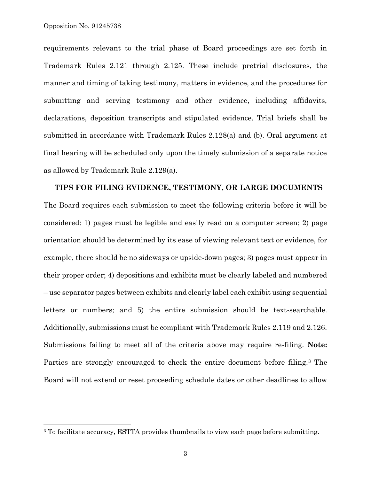$\overline{a}$ 

requirements relevant to the trial phase of Board proceedings are set forth in Trademark Rules 2.121 through 2.125. These include pretrial disclosures, the manner and timing of taking testimony, matters in evidence, and the procedures for submitting and serving testimony and other evidence, including affidavits, declarations, deposition transcripts and stipulated evidence. Trial briefs shall be submitted in accordance with Trademark Rules 2.128(a) and (b). Oral argument at final hearing will be scheduled only upon the timely submission of a separate notice as allowed by Trademark Rule 2.129(a).

**TIPS FOR FILING EVIDENCE, TESTIMONY, OR LARGE DOCUMENTS**  The Board requires each submission to meet the following criteria before it will be considered: 1) pages must be legible and easily read on a computer screen; 2) page orientation should be determined by its ease of viewing relevant text or evidence, for example, there should be no sideways or upside-down pages; 3) pages must appear in their proper order; 4) depositions and exhibits must be clearly labeled and numbered – use separator pages between exhibits and clearly label each exhibit using sequential letters or numbers; and 5) the entire submission should be text-searchable. Additionally, submissions must be compliant with Trademark Rules 2.119 and 2.126. Submissions failing to meet all of the criteria above may require re-filing. **Note:** Parties are strongly encouraged to check the entire document before filing.<sup>3</sup> The Board will not extend or reset proceeding schedule dates or other deadlines to allow

<sup>&</sup>lt;sup>3</sup> To facilitate accuracy, ESTTA provides thumbnails to view each page before submitting.